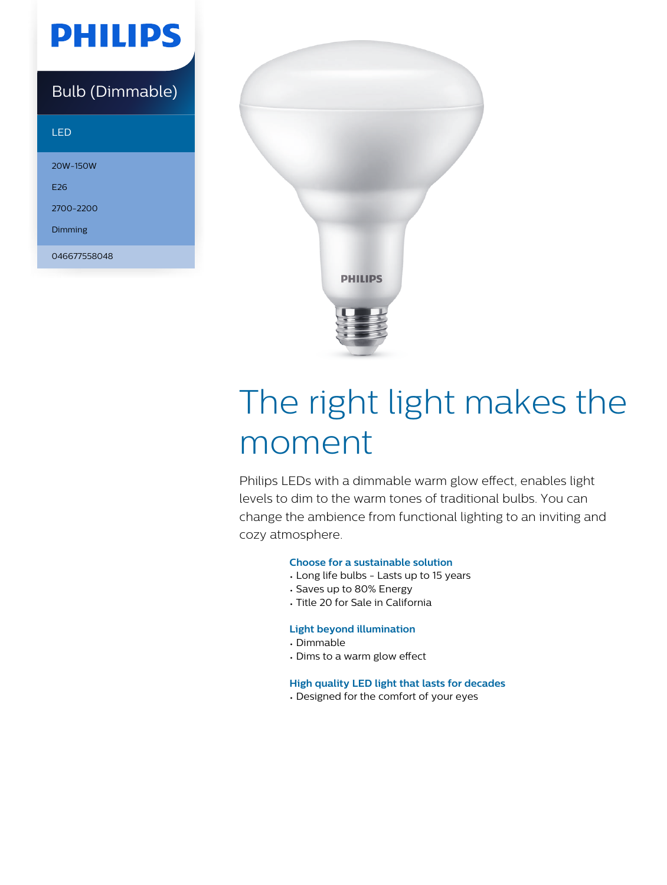# **PHILIPS**

### Bulb (Dimmable)

#### LED

20W-150W E26 2700-2200

Dimming

046677558048



# The right light makes the moment

Philips LEDs with a dimmable warm glow effect, enables light levels to dim to the warm tones of traditional bulbs. You can change the ambience from functional lighting to an inviting and cozy atmosphere.

#### **Choose for a sustainable solution**

- Long life bulbs Lasts up to 15 years
- Saves up to 80% Energy
- Title 20 for Sale in California

#### **Light beyond illumination**

- Dimmable
- Dims to a warm glow effect

**High quality LED light that lasts for decades**

• Designed for the comfort of your eyes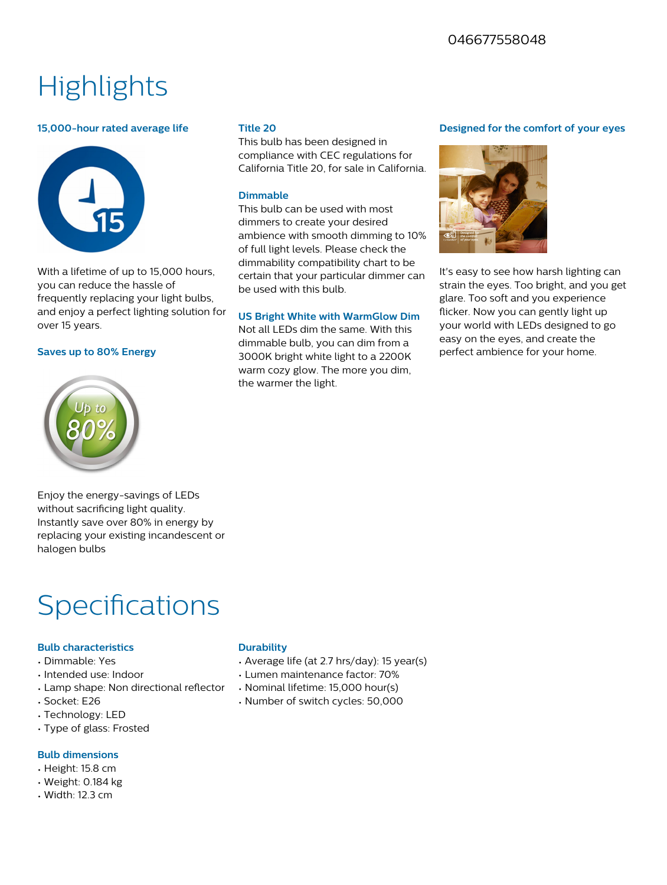## **Highlights**

#### **15,000-hour rated average life**



With a lifetime of up to 15,000 hours, you can reduce the hassle of frequently replacing your light bulbs, and enjoy a perfect lighting solution for over 15 years.

#### **Saves up to 80% Energy**



#### **Title 20**

This bulb has been designed in compliance with CEC regulations for California Title 20, for sale in California.

#### **Dimmable**

This bulb can be used with most dimmers to create your desired ambience with smooth dimming to 10% of full light levels. Please check the dimmability compatibility chart to be certain that your particular dimmer can be used with this bulb.

#### **US Bright White with WarmGlow Dim**

Not all LEDs dim the same. With this dimmable bulb, you can dim from a 3000K bright white light to a 2200K warm cozy glow. The more you dim, the warmer the light.

#### **Designed for the comfort of your eyes**



It's easy to see how harsh lighting can strain the eyes. Too bright, and you get glare. Too soft and you experience flicker. Now you can gently light up your world with LEDs designed to go easy on the eyes, and create the perfect ambience for your home.

Enjoy the energy-savings of LEDs without sacrificing light quality. Instantly save over 80% in energy by replacing your existing incandescent or halogen bulbs

### **Specifications**

#### **Bulb characteristics**

- Dimmable: Yes
- Intended use: Indoor
- Lamp shape: Non directional reflector
- Socket: E26
- Technology: LED
- Type of glass: Frosted

#### **Bulb dimensions**

- Height: 15.8 cm
- Weight: 0.184 kg
- Width: 12.3 cm

#### **Durability**

- Average life (at 2.7 hrs/day): 15 year(s)
- Lumen maintenance factor: 70%
- Nominal lifetime: 15,000 hour(s)
- Number of switch cycles: 50,000